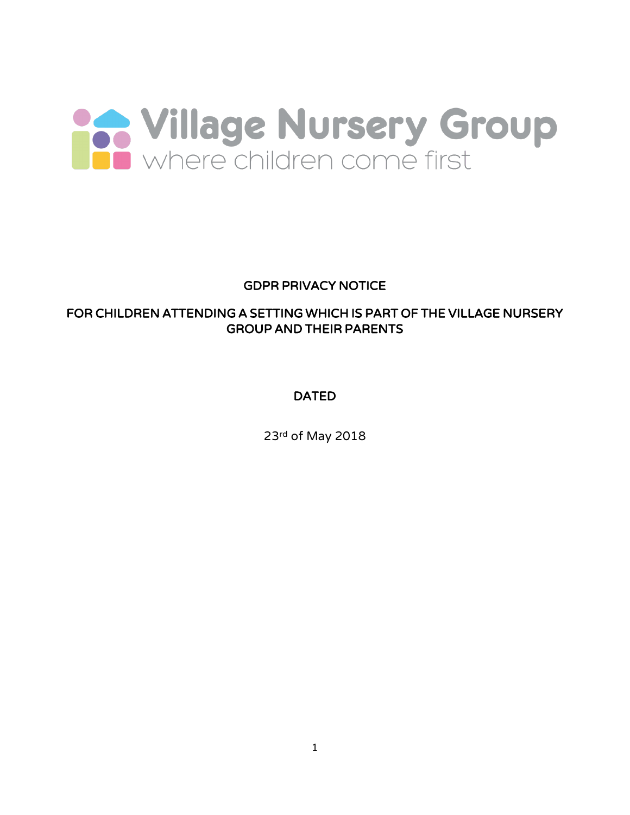

# GDPR PRIVACY NOTICE

# FOR CHILDREN ATTENDING A SETTING WHICH IS PART OF THE VILLAGE NURSERY GROUP AND THEIR PARENTS

# DATED

23rd of May 2018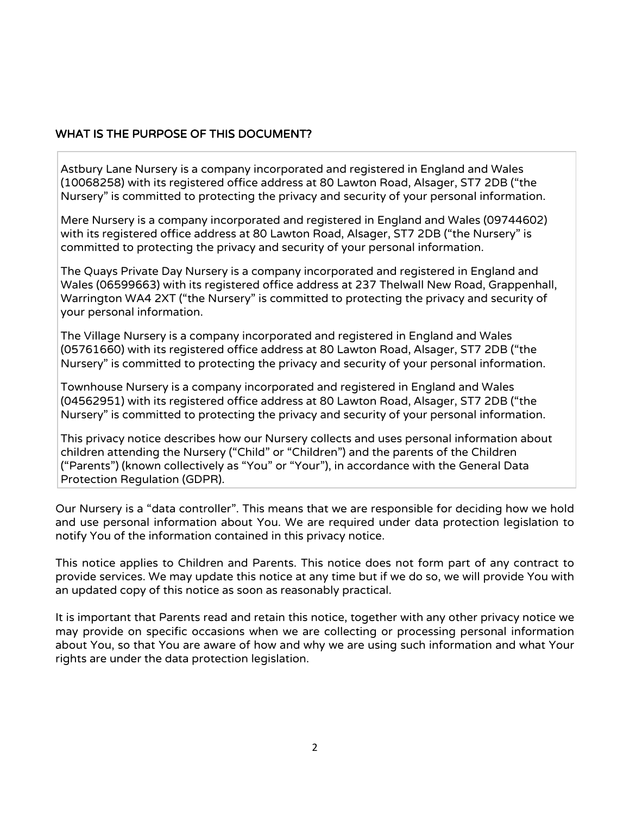### WHAT IS THE PURPOSE OF THIS DOCUMENT?

Astbury Lane Nursery is a company incorporated and registered in England and Wales (10068258) with its registered office address at 80 Lawton Road, Alsager, ST7 2DB ("the Nursery" is committed to protecting the privacy and security of your personal information.

Mere Nursery is a company incorporated and registered in England and Wales (09744602) with its registered office address at 80 Lawton Road, Alsager, ST7 2DB ("the Nursery" is committed to protecting the privacy and security of your personal information.

The Quays Private Day Nursery is a company incorporated and registered in England and Wales (06599663) with its registered office address at 237 Thelwall New Road, Grappenhall, Warrington WA4 2XT ("the Nursery" is committed to protecting the privacy and security of your personal information.

The Village Nursery is a company incorporated and registered in England and Wales (05761660) with its registered office address at 80 Lawton Road, Alsager, ST7 2DB ("the Nursery" is committed to protecting the privacy and security of your personal information.

Townhouse Nursery is a company incorporated and registered in England and Wales (04562951) with its registered office address at 80 Lawton Road, Alsager, ST7 2DB ("the Nursery" is committed to protecting the privacy and security of your personal information.

This privacy notice describes how our Nursery collects and uses personal information about children attending the Nursery ("Child" or "Children") and the parents of the Children ("Parents") (known collectively as "You" or "Your"), in accordance with the General Data Protection Regulation (GDPR).

Our Nursery is a "data controller". This means that we are responsible for deciding how we hold and use personal information about You. We are required under data protection legislation to notify You of the information contained in this privacy notice.

This notice applies to Children and Parents. This notice does not form part of any contract to provide services. We may update this notice at any time but if we do so, we will provide You with an updated copy of this notice as soon as reasonably practical.

It is important that Parents read and retain this notice, together with any other privacy notice we may provide on specific occasions when we are collecting or processing personal information about You, so that You are aware of how and why we are using such information and what Your rights are under the data protection legislation.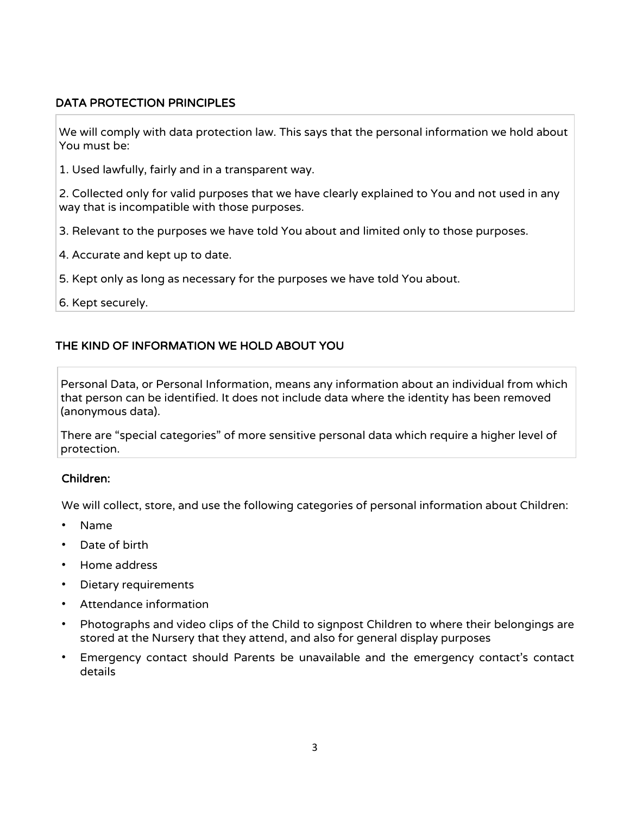### DATA PROTECTION PRINCIPLES

We will comply with data protection law. This says that the personal information we hold about You must be:

1. Used lawfully, fairly and in a transparent way.

2. Collected only for valid purposes that we have clearly explained to You and not used in any way that is incompatible with those purposes.

- 3. Relevant to the purposes we have told You about and limited only to those purposes.
- 4. Accurate and kept up to date.
- 5. Kept only as long as necessary for the purposes we have told You about.
- 6. Kept securely.

# THE KIND OF INFORMATION WE HOLD ABOUT YOU

Personal Data, or Personal Information, means any information about an individual from which that person can be identified. It does not include data where the identity has been removed (anonymous data).

There are "special categories" of more sensitive personal data which require a higher level of protection.

### Children:

We will collect, store, and use the following categories of personal information about Children:

- Name
- Date of birth
- Home address
- Dietary requirements
- Attendance information
- Photographs and video clips of the Child to signpost Children to where their belongings are stored at the Nursery that they attend, and also for general display purposes
- Emergency contact should Parents be unavailable and the emergency contact's contact details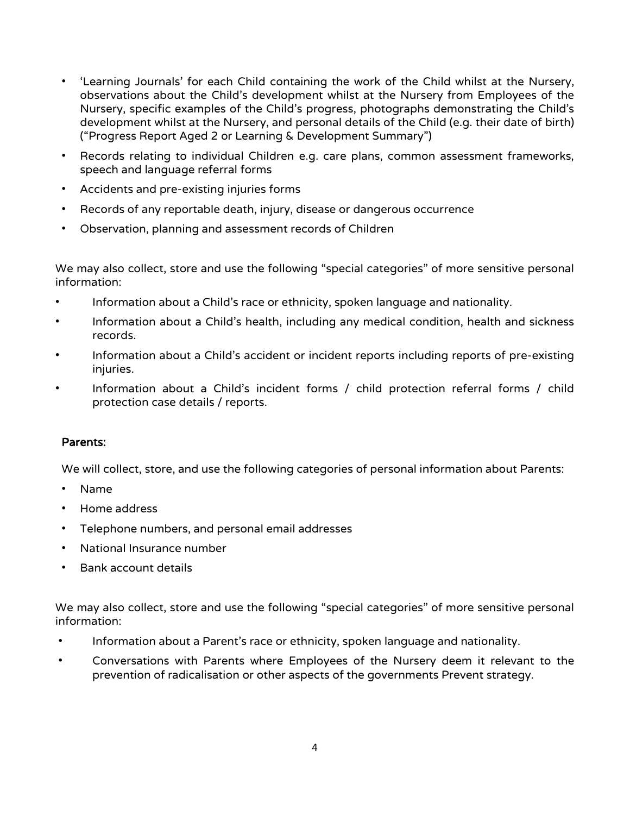- 'Learning Journals' for each Child containing the work of the Child whilst at the Nursery, observations about the Child's development whilst at the Nursery from Employees of the Nursery, specific examples of the Child's progress, photographs demonstrating the Child's development whilst at the Nursery, and personal details of the Child (e.g. their date of birth) ("Progress Report Aged 2 or Learning & Development Summary")
- Records relating to individual Children e.g. care plans, common assessment frameworks, speech and language referral forms
- Accidents and pre-existing injuries forms
- Records of any reportable death, injury, disease or dangerous occurrence
- Observation, planning and assessment records of Children

We may also collect, store and use the following "special categories" of more sensitive personal information:

- Information about a Child's race or ethnicity, spoken language and nationality.
- Information about a Child's health, including any medical condition, health and sickness records.
- Information about a Child's accident or incident reports including reports of pre-existing injuries.
- Information about a Child's incident forms / child protection referral forms / child protection case details / reports.

#### Parents:

We will collect, store, and use the following categories of personal information about Parents:

- Name
- Home address
- Telephone numbers, and personal email addresses
- National Insurance number
- Bank account details

We may also collect, store and use the following "special categories" of more sensitive personal information:

- Information about a Parent's race or ethnicity, spoken language and nationality.
- Conversations with Parents where Employees of the Nursery deem it relevant to the prevention of radicalisation or other aspects of the governments Prevent strategy.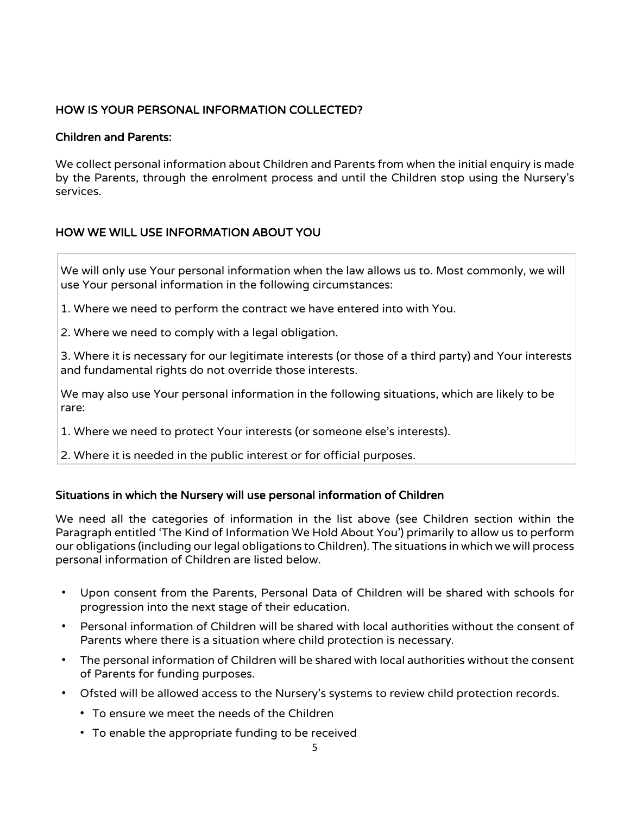# HOW IS YOUR PERSONAL INFORMATION COLLECTED?

#### Children and Parents:

We collect personal information about Children and Parents from when the initial enquiry is made by the Parents, through the enrolment process and until the Children stop using the Nursery's services.

# HOW WE WILL USE INFORMATION ABOUT YOU

We will only use Your personal information when the law allows us to. Most commonly, we will use Your personal information in the following circumstances:

1. Where we need to perform the contract we have entered into with You.

2. Where we need to comply with a legal obligation.

3. Where it is necessary for our legitimate interests (or those of a third party) and Your interests and fundamental rights do not override those interests.

We may also use Your personal information in the following situations, which are likely to be rare:

1. Where we need to protect Your interests (or someone else's interests).

2. Where it is needed in the public interest or for official purposes.

### Situations in which the Nursery will use personal information of Children

We need all the categories of information in the list above (see Children section within the Paragraph entitled 'The Kind of Information We Hold About You') primarily to allow us to perform our obligations (including our legal obligations to Children). The situations in which we will process personal information of Children are listed below.

- Upon consent from the Parents, Personal Data of Children will be shared with schools for progression into the next stage of their education.
- Personal information of Children will be shared with local authorities without the consent of Parents where there is a situation where child protection is necessary.
- The personal information of Children will be shared with local authorities without the consent of Parents for funding purposes.
- Ofsted will be allowed access to the Nursery's systems to review child protection records.
	- To ensure we meet the needs of the Children
	- To enable the appropriate funding to be received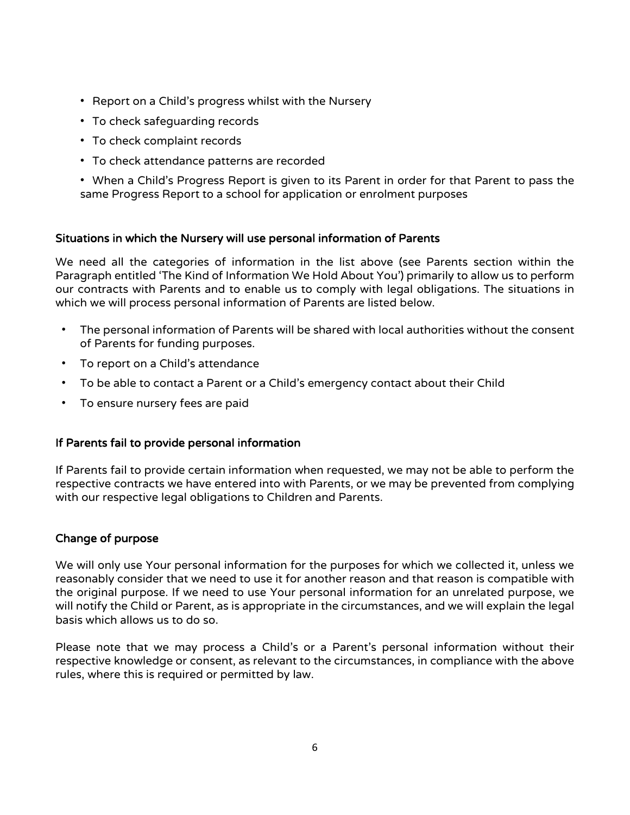- Report on a Child's progress whilst with the Nursery
- To check safeguarding records
- To check complaint records
- To check attendance patterns are recorded

• When a Child's Progress Report is given to its Parent in order for that Parent to pass the same Progress Report to a school for application or enrolment purposes

#### Situations in which the Nursery will use personal information of Parents

We need all the categories of information in the list above (see Parents section within the Paragraph entitled 'The Kind of Information We Hold About You') primarily to allow us to perform our contracts with Parents and to enable us to comply with legal obligations. The situations in which we will process personal information of Parents are listed below.

- The personal information of Parents will be shared with local authorities without the consent of Parents for funding purposes.
- To report on a Child's attendance
- To be able to contact a Parent or a Child's emergency contact about their Child
- To ensure nursery fees are paid

#### If Parents fail to provide personal information

If Parents fail to provide certain information when requested, we may not be able to perform the respective contracts we have entered into with Parents, or we may be prevented from complying with our respective legal obligations to Children and Parents.

### Change of purpose

We will only use Your personal information for the purposes for which we collected it, unless we reasonably consider that we need to use it for another reason and that reason is compatible with the original purpose. If we need to use Your personal information for an unrelated purpose, we will notify the Child or Parent, as is appropriate in the circumstances, and we will explain the legal basis which allows us to do so.

Please note that we may process a Child's or a Parent's personal information without their respective knowledge or consent, as relevant to the circumstances, in compliance with the above rules, where this is required or permitted by law.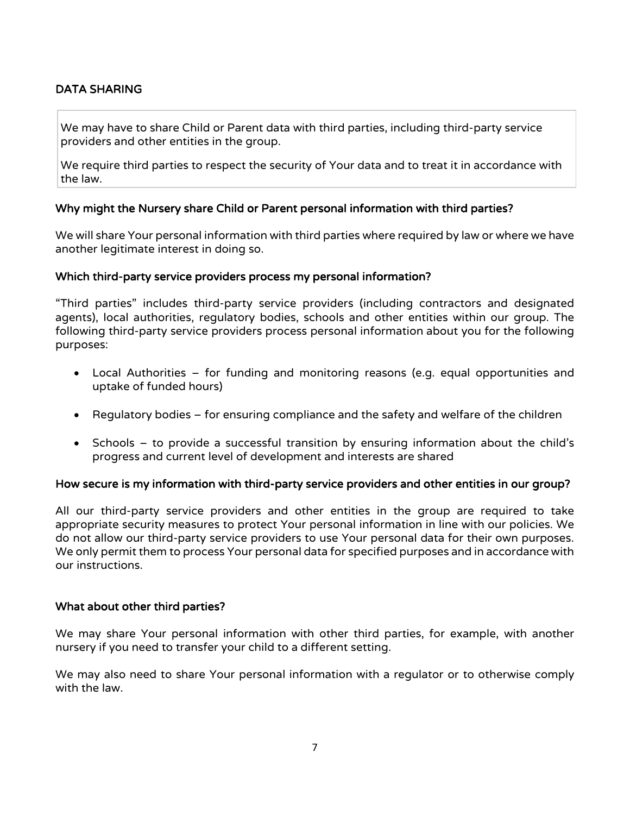# DATA SHARING

We may have to share Child or Parent data with third parties, including third-party service providers and other entities in the group.

We require third parties to respect the security of Your data and to treat it in accordance with the law.

#### Why might the Nursery share Child or Parent personal information with third parties?

We will share Your personal information with third parties where required by law or where we have another legitimate interest in doing so.

#### Which third-party service providers process my personal information?

"Third parties" includes third-party service providers (including contractors and designated agents), local authorities, regulatory bodies, schools and other entities within our group. The following third-party service providers process personal information about you for the following purposes:

- Local Authorities for funding and monitoring reasons (e.g. equal opportunities and uptake of funded hours)
- Regulatory bodies for ensuring compliance and the safety and welfare of the children
- Schools to provide a successful transition by ensuring information about the child's progress and current level of development and interests are shared

#### How secure is my information with third-party service providers and other entities in our group?

All our third-party service providers and other entities in the group are required to take appropriate security measures to protect Your personal information in line with our policies. We do not allow our third-party service providers to use Your personal data for their own purposes. We only permit them to process Your personal data for specified purposes and in accordance with our instructions.

#### What about other third parties?

We may share Your personal information with other third parties, for example, with another nursery if you need to transfer your child to a different setting.

We may also need to share Your personal information with a regulator or to otherwise comply with the law.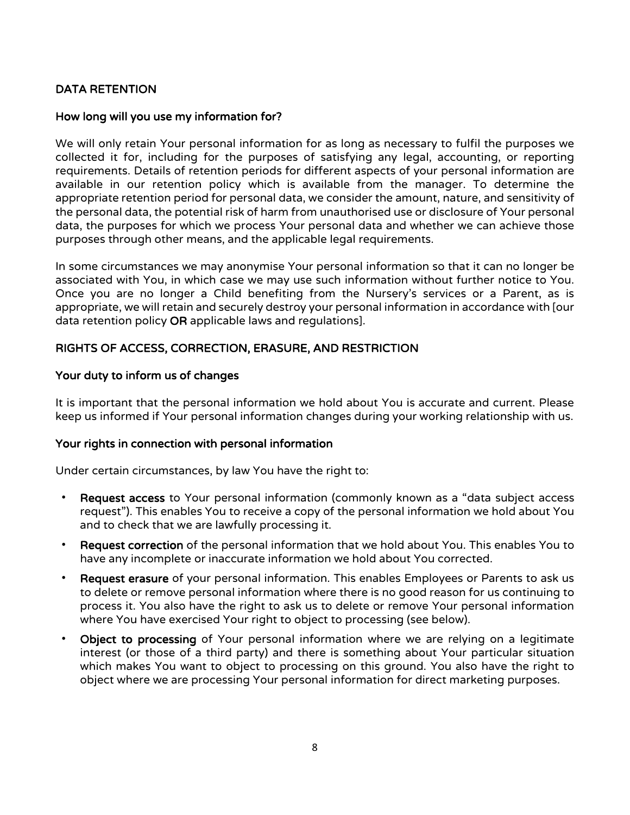# DATA RETENTION

#### How long will you use my information for?

We will only retain Your personal information for as long as necessary to fulfil the purposes we collected it for, including for the purposes of satisfying any legal, accounting, or reporting requirements. Details of retention periods for different aspects of your personal information are available in our retention policy which is available from the manager. To determine the appropriate retention period for personal data, we consider the amount, nature, and sensitivity of the personal data, the potential risk of harm from unauthorised use or disclosure of Your personal data, the purposes for which we process Your personal data and whether we can achieve those purposes through other means, and the applicable legal requirements.

In some circumstances we may anonymise Your personal information so that it can no longer be associated with You, in which case we may use such information without further notice to You. Once you are no longer a Child benefiting from the Nursery's services or a Parent, as is appropriate, we will retain and securely destroy your personal information in accordance with [our data retention policy OR applicable laws and regulations].

#### RIGHTS OF ACCESS, CORRECTION, ERASURE, AND RESTRICTION

#### Your duty to inform us of changes

It is important that the personal information we hold about You is accurate and current. Please keep us informed if Your personal information changes during your working relationship with us.

#### Your rights in connection with personal information

Under certain circumstances, by law You have the right to:

- Request access to Your personal information (commonly known as a "data subject access request"). This enables You to receive a copy of the personal information we hold about You and to check that we are lawfully processing it.
- Request correction of the personal information that we hold about You. This enables You to have any incomplete or inaccurate information we hold about You corrected.
- Request erasure of your personal information. This enables Employees or Parents to ask us to delete or remove personal information where there is no good reason for us continuing to process it. You also have the right to ask us to delete or remove Your personal information where You have exercised Your right to object to processing (see below).
- Object to processing of Your personal information where we are relying on a legitimate interest (or those of a third party) and there is something about Your particular situation which makes You want to object to processing on this ground. You also have the right to object where we are processing Your personal information for direct marketing purposes.